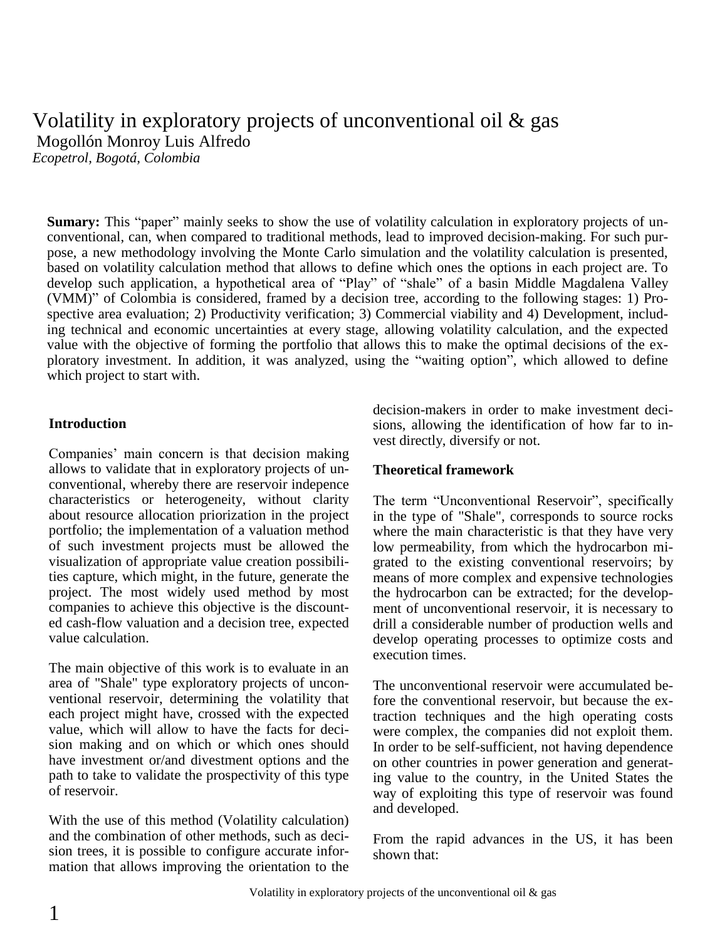# Volatility in exploratory projects of unconventional oil & gas Mogollón Monroy Luis Alfredo

*Ecopetrol, Bogotá, Colombia*

**Sumary:** This "paper" mainly seeks to show the use of volatility calculation in exploratory projects of unconventional, can, when compared to traditional methods, lead to improved decision-making. For such purpose, a new methodology involving the Monte Carlo simulation and the volatility calculation is presented, based on volatility calculation method that allows to define which ones the options in each project are. To develop such application, a hypothetical area of "Play" of "shale" of a basin Middle Magdalena Valley (VMM)" of Colombia is considered, framed by a decision tree, according to the following stages: 1) Prospective area evaluation; 2) Productivity verification; 3) Commercial viability and 4) Development, including technical and economic uncertainties at every stage, allowing volatility calculation, and the expected value with the objective of forming the portfolio that allows this to make the optimal decisions of the exploratory investment. In addition, it was analyzed, using the "waiting option", which allowed to define which project to start with.

### **Introduction**

Companies' main concern is that decision making allows to validate that in exploratory projects of unconventional, whereby there are reservoir indepence characteristics or heterogeneity, without clarity about resource allocation priorization in the project portfolio; the implementation of a valuation method of such investment projects must be allowed the visualization of appropriate value creation possibilities capture, which might, in the future, generate the project. The most widely used method by most companies to achieve this objective is the discounted cash-flow valuation and a decision tree, expected value calculation.

The main objective of this work is to evaluate in an area of "Shale" type exploratory projects of unconventional reservoir, determining the volatility that each project might have, crossed with the expected value, which will allow to have the facts for decision making and on which or which ones should have investment or/and divestment options and the path to take to validate the prospectivity of this type of reservoir.

With the use of this method (Volatility calculation) and the combination of other methods, such as decision trees, it is possible to configure accurate information that allows improving the orientation to the decision-makers in order to make investment decisions, allowing the identification of how far to invest directly, diversify or not.

### **Theoretical framework**

The term "Unconventional Reservoir", specifically in the type of "Shale", corresponds to source rocks where the main characteristic is that they have very low permeability, from which the hydrocarbon migrated to the existing conventional reservoirs; by means of more complex and expensive technologies the hydrocarbon can be extracted; for the development of unconventional reservoir, it is necessary to drill a considerable number of production wells and develop operating processes to optimize costs and execution times.

The unconventional reservoir were accumulated before the conventional reservoir, but because the extraction techniques and the high operating costs were complex, the companies did not exploit them. In order to be self-sufficient, not having dependence on other countries in power generation and generating value to the country, in the United States the way of exploiting this type of reservoir was found and developed.

From the rapid advances in the US, it has been shown that: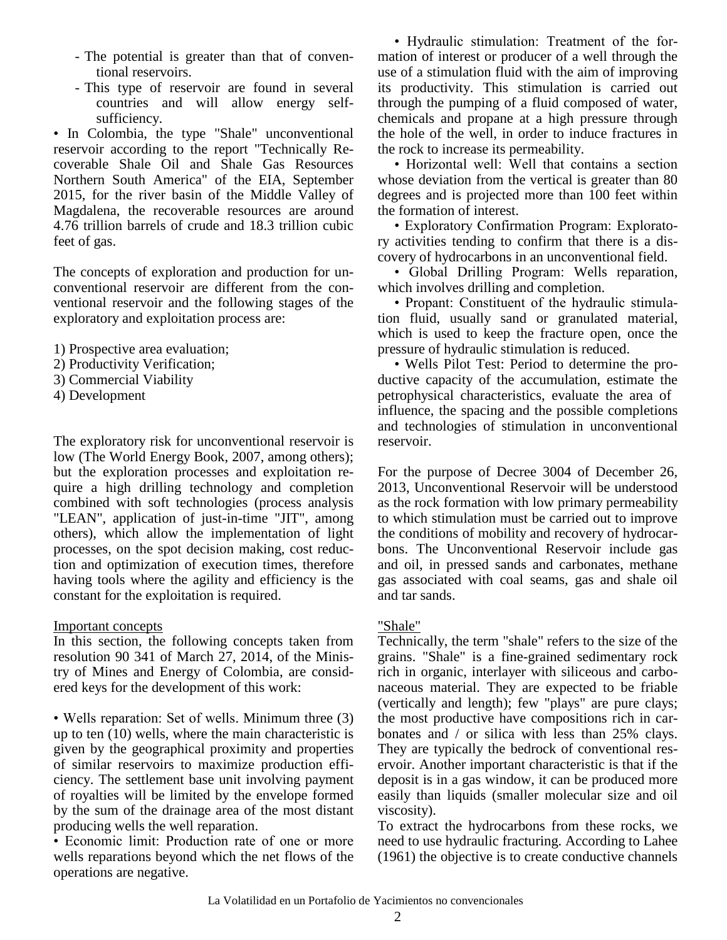- The potential is greater than that of conventional reservoirs.
- This type of reservoir are found in several countries and will allow energy selfsufficiency.

• In Colombia, the type "Shale" unconventional reservoir according to the report "Technically Recoverable Shale Oil and Shale Gas Resources Northern South America" of the EIA, September 2015, for the river basin of the Middle Valley of Magdalena, the recoverable resources are around 4.76 trillion barrels of crude and 18.3 trillion cubic feet of gas.

The concepts of exploration and production for unconventional reservoir are different from the conventional reservoir and the following stages of the exploratory and exploitation process are:

- 1) Prospective area evaluation;
- 2) Productivity Verification;
- 3) Commercial Viability
- 4) Development

The exploratory risk for unconventional reservoir is low (The World Energy Book, 2007, among others); but the exploration processes and exploitation require a high drilling technology and completion combined with soft technologies (process analysis "LEAN", application of just-in-time "JIT", among others), which allow the implementation of light processes, on the spot decision making, cost reduction and optimization of execution times, therefore having tools where the agility and efficiency is the constant for the exploitation is required.

#### Important concepts

In this section, the following concepts taken from resolution 90 341 of March 27, 2014, of the Ministry of Mines and Energy of Colombia, are considered keys for the development of this work:

• Wells reparation: Set of wells. Minimum three (3) up to ten (10) wells, where the main characteristic is given by the geographical proximity and properties of similar reservoirs to maximize production efficiency. The settlement base unit involving payment of royalties will be limited by the envelope formed by the sum of the drainage area of the most distant producing wells the well reparation.

• Economic limit: Production rate of one or more wells reparations beyond which the net flows of the operations are negative.

• Hydraulic stimulation: Treatment of the formation of interest or producer of a well through the use of a stimulation fluid with the aim of improving its productivity. This stimulation is carried out through the pumping of a fluid composed of water, chemicals and propane at a high pressure through the hole of the well, in order to induce fractures in the rock to increase its permeability.

• Horizontal well: Well that contains a section whose deviation from the vertical is greater than 80 degrees and is projected more than 100 feet within the formation of interest.

• Exploratory Confirmation Program: Exploratory activities tending to confirm that there is a discovery of hydrocarbons in an unconventional field.

• Global Drilling Program: Wells reparation, which involves drilling and completion.

• Propant: Constituent of the hydraulic stimulation fluid, usually sand or granulated material, which is used to keep the fracture open, once the pressure of hydraulic stimulation is reduced.

• Wells Pilot Test: Period to determine the productive capacity of the accumulation, estimate the petrophysical characteristics, evaluate the area of influence, the spacing and the possible completions and technologies of stimulation in unconventional reservoir.

For the purpose of Decree 3004 of December 26, 2013, Unconventional Reservoir will be understood as the rock formation with low primary permeability to which stimulation must be carried out to improve the conditions of mobility and recovery of hydrocarbons. The Unconventional Reservoir include gas and oil, in pressed sands and carbonates, methane gas associated with coal seams, gas and shale oil and tar sands.

#### "Shale"

Technically, the term "shale" refers to the size of the grains. "Shale" is a fine-grained sedimentary rock rich in organic, interlayer with siliceous and carbonaceous material. They are expected to be friable (vertically and length); few "plays" are pure clays; the most productive have compositions rich in carbonates and / or silica with less than 25% clays. They are typically the bedrock of conventional reservoir. Another important characteristic is that if the deposit is in a gas window, it can be produced more easily than liquids (smaller molecular size and oil viscosity).

To extract the hydrocarbons from these rocks, we need to use hydraulic fracturing. According to Lahee (1961) the objective is to create conductive channels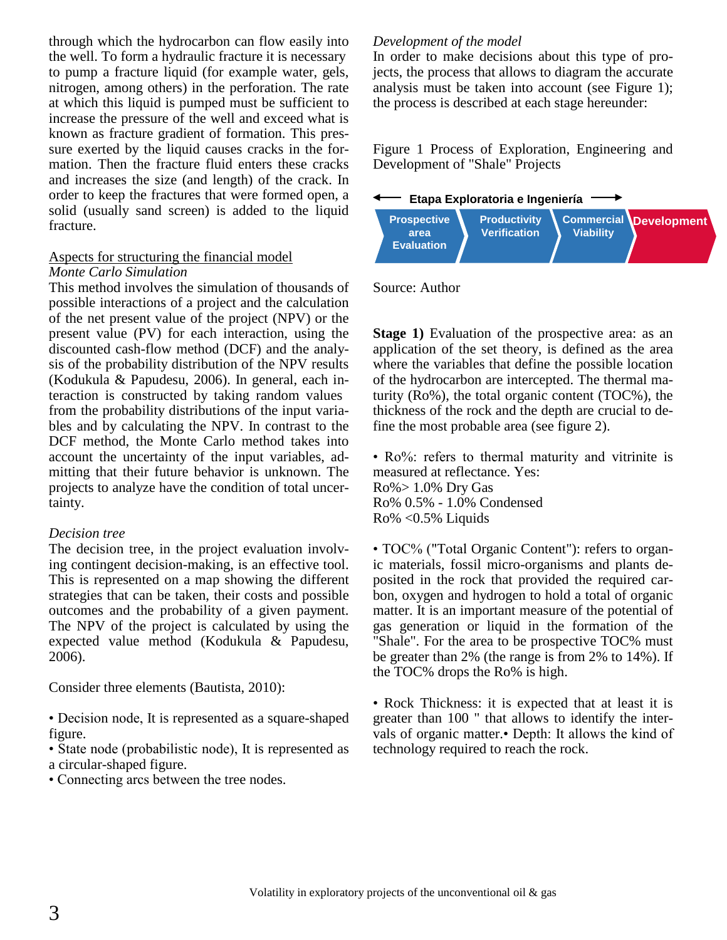through which the hydrocarbon can flow easily into the well. To form a hydraulic fracture it is necessary to pump a fracture liquid (for example water, gels, nitrogen, among others) in the perforation. The rate at which this liquid is pumped must be sufficient to increase the pressure of the well and exceed what is known as fracture gradient of formation. This pressure exerted by the liquid causes cracks in the formation. Then the fracture fluid enters these cracks and increases the size (and length) of the crack. In order to keep the fractures that were formed open, a solid (usually sand screen) is added to the liquid fracture.

#### Aspects for structuring the financial model *Monte Carlo Simulation*

This method involves the simulation of thousands of possible interactions of a project and the calculation of the net present value of the project (NPV) or the present value (PV) for each interaction, using the discounted cash-flow method (DCF) and the analysis of the probability distribution of the NPV results (Kodukula & Papudesu, 2006). In general, each interaction is constructed by taking random values from the probability distributions of the input variables and by calculating the NPV. In contrast to the DCF method, the Monte Carlo method takes into account the uncertainty of the input variables, admitting that their future behavior is unknown. The projects to analyze have the condition of total uncertainty.

#### *Decision tree*

The decision tree, in the project evaluation involving contingent decision-making, is an effective tool. This is represented on a map showing the different strategies that can be taken, their costs and possible outcomes and the probability of a given payment. The NPV of the project is calculated by using the expected value method (Kodukula & Papudesu, 2006).

Consider three elements (Bautista, 2010):

• Decision node, It is represented as a square-shaped figure.

• State node (probabilistic node), It is represented as a circular-shaped figure.

• Connecting arcs between the tree nodes.

#### *Development of the model*

In order to make decisions about this type of projects, the process that allows to diagram the accurate analysis must be taken into account (see Figure 1); the process is described at each stage hereunder:

Figure 1 Process of Exploration, Engineering and Development of "Shale" Projects

**Etapa Exploratoria e Ingeniería**



Source: Author

**Stage 1)** Evaluation of the prospective area: as an application of the set theory, is defined as the area where the variables that define the possible location of the hydrocarbon are intercepted. The thermal maturity (Ro%), the total organic content (TOC%), the thickness of the rock and the depth are crucial to define the most probable area (see figure 2).

• Ro%: refers to thermal maturity and vitrinite is measured at reflectance. Yes: Ro%> 1.0% Dry Gas Ro% 0.5% - 1.0% Condensed Ro% <0.5% Liquids

• TOC% ("Total Organic Content"): refers to organic materials, fossil micro-organisms and plants deposited in the rock that provided the required carbon, oxygen and hydrogen to hold a total of organic matter. It is an important measure of the potential of gas generation or liquid in the formation of the "Shale". For the area to be prospective TOC% must be greater than 2% (the range is from 2% to 14%). If the TOC% drops the Ro% is high.

• Rock Thickness: it is expected that at least it is greater than 100 " that allows to identify the intervals of organic matter.• Depth: It allows the kind of technology required to reach the rock.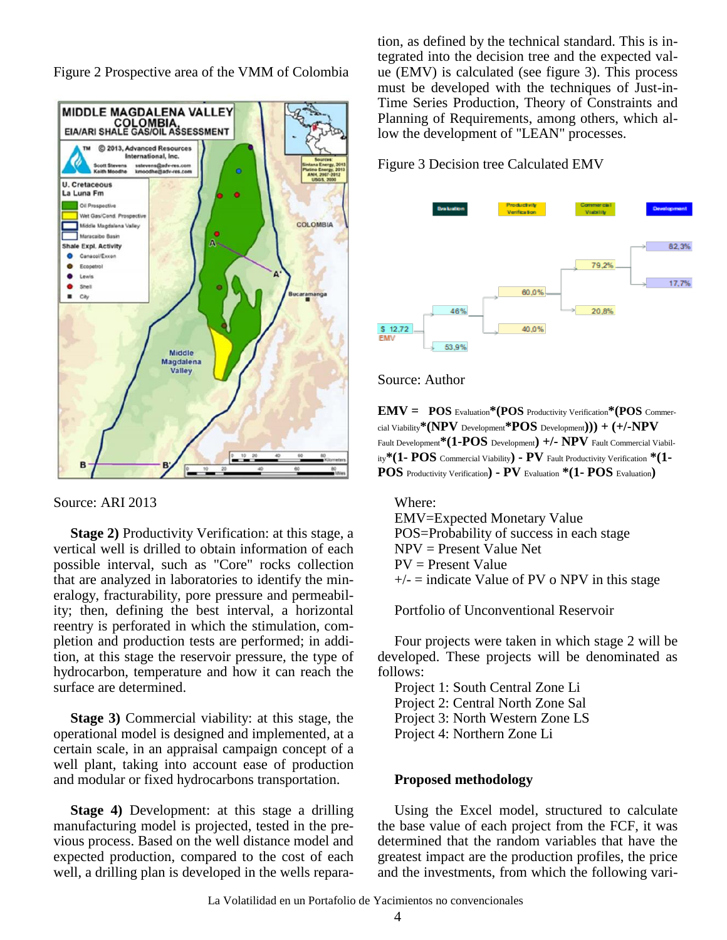Figure 2 Prospective area of the VMM of Colombia



Source: ARI 2013

**Stage 2)** Productivity Verification: at this stage, a vertical well is drilled to obtain information of each possible interval, such as "Core" rocks collection that are analyzed in laboratories to identify the mineralogy, fracturability, pore pressure and permeability; then, defining the best interval, a horizontal reentry is perforated in which the stimulation, completion and production tests are performed; in addition, at this stage the reservoir pressure, the type of hydrocarbon, temperature and how it can reach the surface are determined.

**Stage 3)** Commercial viability: at this stage, the operational model is designed and implemented, at a certain scale, in an appraisal campaign concept of a well plant, taking into account ease of production and modular or fixed hydrocarbons transportation.

**Stage 4)** Development: at this stage a drilling manufacturing model is projected, tested in the previous process. Based on the well distance model and expected production, compared to the cost of each well, a drilling plan is developed in the wells reparation, as defined by the technical standard. This is integrated into the decision tree and the expected value (EMV) is calculated (see figure 3). This process must be developed with the techniques of Just-in-Time Series Production, Theory of Constraints and Planning of Requirements, among others, which allow the development of "LEAN" processes.

Figure 3 Decision tree Calculated EMV



#### Source: Author

**EMV = POS** Evaluation**\*(POS** Productivity Verification**\*(POS** Commercial Viability**\*(NPV** Development**\*POS** Development**))) + (+/-NPV** Fault Development**\*(1-POS** Development**) +/- NPV** Fault Commercial Viability**\*(1- POS** Commercial Viability**) - PV** Fault Productivity Verification **\*(1- POS** Productivity Verification**) - PV** Evaluation **\*(1- POS** Evaluation**)**

Where: EMV=Expected Monetary Value POS=Probability of success in each stage  $NPV = Present Value Net$ PV = Present Value  $+/-$  = indicate Value of PV o NPV in this stage

Portfolio of Unconventional Reservoir

Four projects were taken in which stage 2 will be developed. These projects will be denominated as follows:

Project 1: South Central Zone Li Project 2: Central North Zone Sal Project 3: North Western Zone LS Project 4: Northern Zone Li

#### **Proposed methodology**

Using the Excel model, structured to calculate the base value of each project from the FCF, it was determined that the random variables that have the greatest impact are the production profiles, the price and the investments, from which the following vari-

La Volatilidad en un Portafolio de Yacimientos no convencionales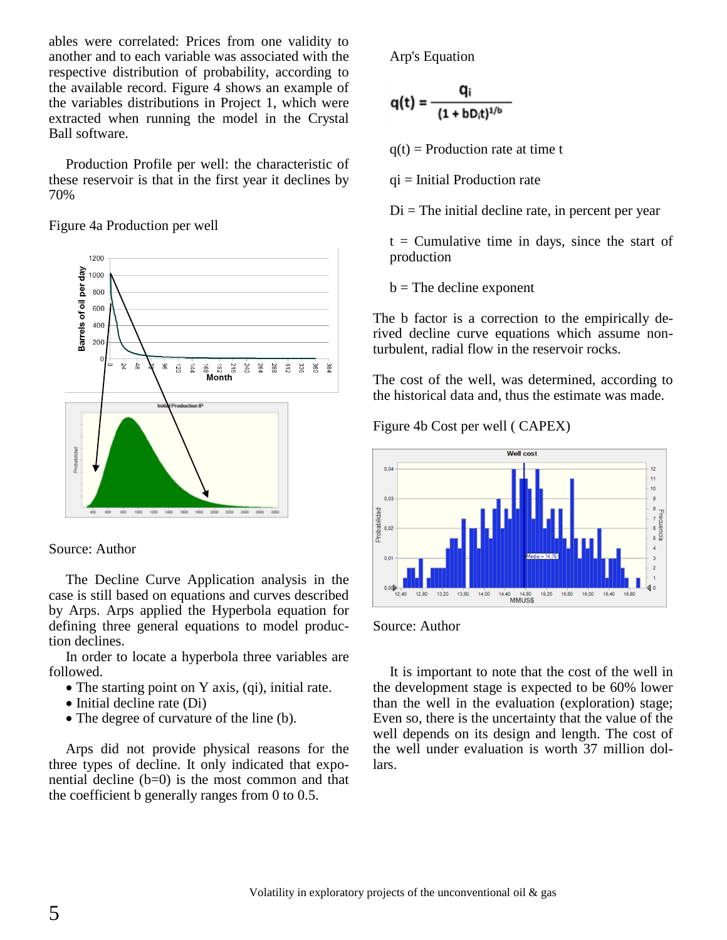ables were correlated: Prices from one validity to another and to each variable was associated with the respective distribution of probability, according to the available record. Figure 4 shows an example of the variables distributions in Project 1, which were extracted when running the model in the Crystal Ball software.

Production Profile per well: the characteristic of these reservoir is that in the first year it declines by 70%

Figure 4a Production per well



Source: Author

The Decline Curve Application analysis in the case is still based on equations and curves described by Arps. Arps applied the Hyperbola equation for defining three general equations to model production declines.

In order to locate a hyperbola three variables are followed.

- The starting point on Y axis, (qi), initial rate.
- $\bullet$  Initial decline rate (Di)
- The degree of curvature of the line (b).

Arps did not provide physical reasons for the three types of decline. It only indicated that exponential decline  $(b=0)$  is the most common and that the coefficient b generally ranges from 0 to 0.5.

Arp's Equation

$$
q(t) = \frac{q_i}{(1+bD_it)^{1/b}}
$$

 $q(t)$  = Production rate at time t

 $qi = Initial Production rate$ 

 $Di$  = The initial decline rate, in percent per year

 $t =$  Cumulative time in days, since the start of production

 $b$  = The decline exponent

The b factor is a correction to the empirically derived decline curve equations which assume nonturbulent, radial flow in the reservoir rocks.

The cost of the well, was determined, according to the historical data and, thus the estimate was made.

Figure 4b Cost per well ( CAPEX)





It is important to note that the cost of the well in the development stage is expected to be 60% lower than the well in the evaluation (exploration) stage; Even so, there is the uncertainty that the value of the well depends on its design and length. The cost of the well under evaluation is worth 37 million dollars.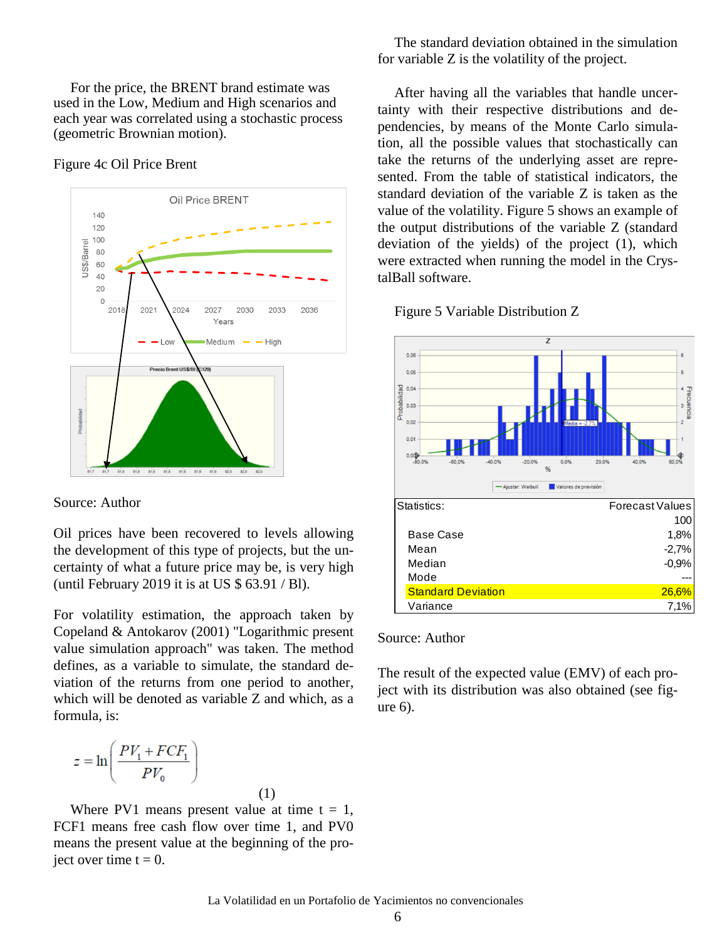For the price, the BRENT brand estimate was used in the Low, Medium and High scenarios and each year was correlated using a stochastic process (geometric Brownian motion).

Figure 4c Oil Price Brent



Source: Author

Oil prices have been recovered to levels allowing the development of this type of projects, but the uncertainty of what a future price may be, is very high (until February 2019 it is at US \$ 63.91 / Bl).

For volatility estimation, the approach taken by Copeland & Antokarov (2001) "Logarithmic present value simulation approach" was taken. The method defines, as a variable to simulate, the standard deviation of the returns from one period to another, which will be denoted as variable Z and which, as a formula, is:

$$
z = \ln\left(\frac{PV_1 + FCF_1}{PV_0}\right)
$$

Where PV1 means present value at time  $t = 1$ , FCF1 means free cash flow over time 1, and PV0 means the present value at the beginning of the project over time  $t = 0$ .

(1)

The standard deviation obtained in the simulation for variable Z is the volatility of the project.

After having all the variables that handle uncertainty with their respective distributions and dependencies, by means of the Monte Carlo simulation, all the possible values that stochastically can take the returns of the underlying asset are represented. From the table of statistical indicators, the standard deviation of the variable Z is taken as the value of the volatility. Figure 5 shows an example of the output distributions of the variable Z (standard deviation of the yields) of the project (1), which were extracted when running the model in the CrystalBall software.





Source: Author

The result of the expected value (EMV) of each project with its distribution was also obtained (see figure 6).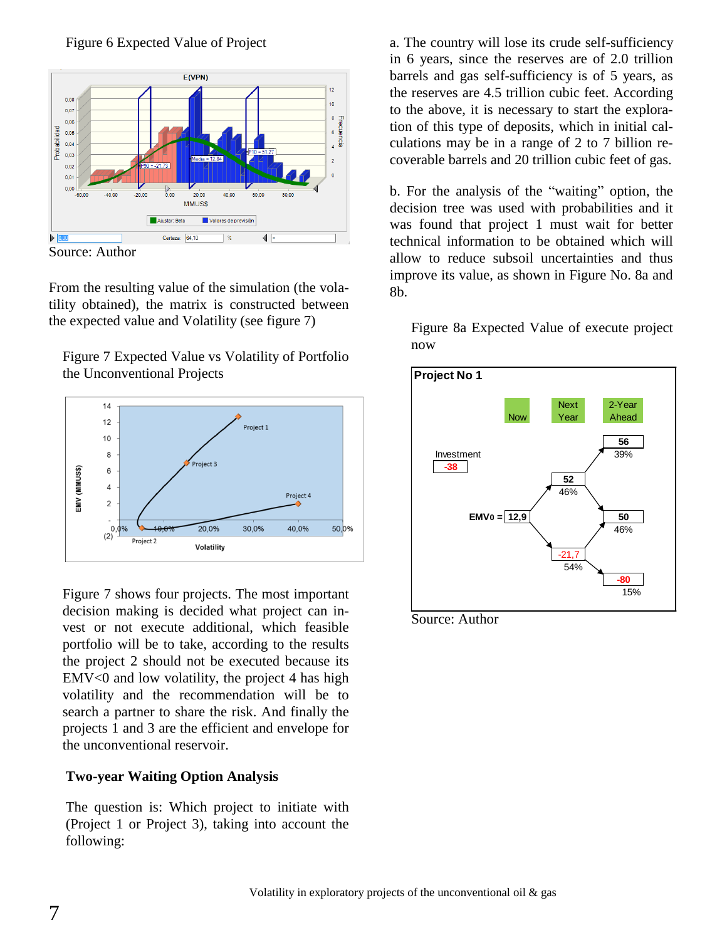



Source: Author

From the resulting value of the simulation (the volatility obtained), the matrix is constructed between the expected value and Volatility (see figure 7)

Figure 7 Expected Value vs Volatility of Portfolio the Unconventional Projects



Figure 7 shows four projects. The most important decision making is decided what project can invest or not execute additional, which feasible portfolio will be to take, according to the results the project 2 should not be executed because its EMV<0 and low volatility, the project 4 has high volatility and the recommendation will be to search a partner to share the risk. And finally the projects 1 and 3 are the efficient and envelope for the unconventional reservoir.

## **Two-year Waiting Option Analysis**

The question is: Which project to initiate with (Project 1 or Project 3), taking into account the following:

a. The country will lose its crude self-sufficiency in 6 years, since the reserves are of 2.0 trillion barrels and gas self-sufficiency is of 5 years, as the reserves are 4.5 trillion cubic feet. According to the above, it is necessary to start the exploration of this type of deposits, which in initial calculations may be in a range of 2 to 7 billion recoverable barrels and 20 trillion cubic feet of gas.

b. For the analysis of the "waiting" option, the decision tree was used with probabilities and it was found that project 1 must wait for better technical information to be obtained which will allow to reduce subsoil uncertainties and thus improve its value, as shown in Figure No. 8a and 8b.

Figure 8a Expected Value of execute project now



Source: Author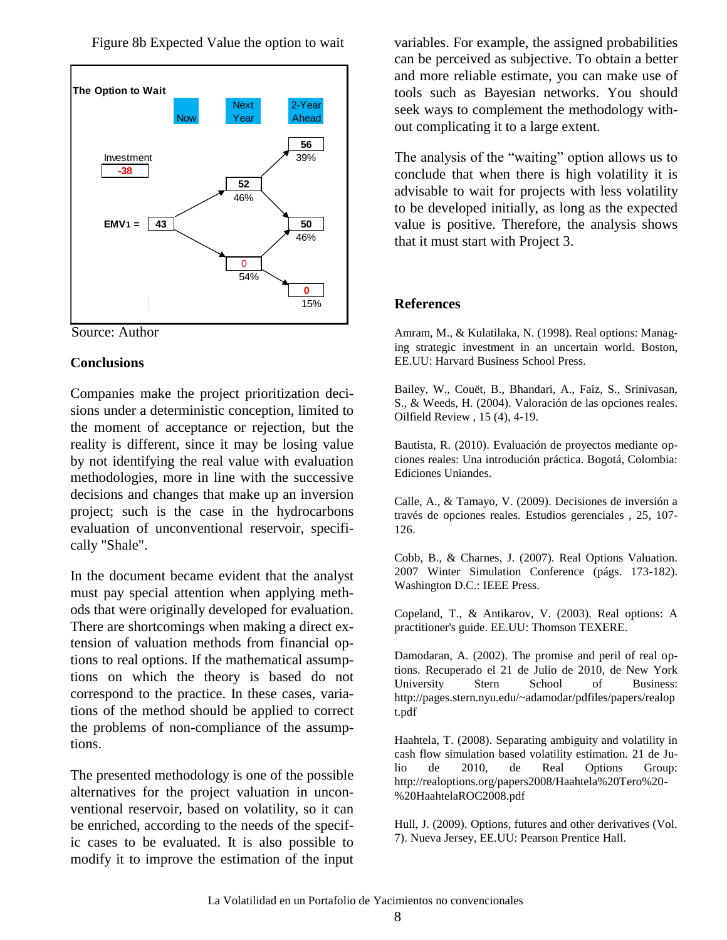Figure 8b Expected Value the option to wait





### **Conclusions**

Companies make the project prioritization decisions under a deterministic conception, limited to the moment of acceptance or rejection, but the reality is different, since it may be losing value by not identifying the real value with evaluation methodologies, more in line with the successive decisions and changes that make up an inversion project; such is the case in the hydrocarbons evaluation of unconventional reservoir, specifically "Shale".

In the document became evident that the analyst must pay special attention when applying methods that were originally developed for evaluation. There are shortcomings when making a direct extension of valuation methods from financial options to real options. If the mathematical assumptions on which the theory is based do not correspond to the practice. In these cases, variations of the method should be applied to correct the problems of non-compliance of the assumptions.

The presented methodology is one of the possible alternatives for the project valuation in unconventional reservoir, based on volatility, so it can be enriched, according to the needs of the specific cases to be evaluated. It is also possible to modify it to improve the estimation of the input

variables. For example, the assigned probabilities can be perceived as subjective. To obtain a better and more reliable estimate, you can make use of tools such as Bayesian networks. You should seek ways to complement the methodology without complicating it to a large extent.

The analysis of the "waiting" option allows us to conclude that when there is high volatility it is advisable to wait for projects with less volatility to be developed initially, as long as the expected value is positive. Therefore, the analysis shows that it must start with Project 3.

### **References**

Amram, M., & Kulatilaka, N. (1998). Real options: Managing strategic investment in an uncertain world. Boston, EE.UU: Harvard Business School Press.

Bailey, W., Couët, B., Bhandari, A., Faiz, S., Srinivasan, S., & Weeds, H. (2004). Valoración de las opciones reales. Oilfield Review , 15 (4), 4-19.

Bautista, R. (2010). Evaluación de proyectos mediante opciones reales: Una introdución práctica. Bogotá, Colombia: Ediciones Uniandes.

Calle, A., & Tamayo, V. (2009). Decisiones de inversión a través de opciones reales. Estudios gerenciales , 25, 107- 126.

Cobb, B., & Charnes, J. (2007). Real Options Valuation. 2007 Winter Simulation Conference (págs. 173-182). Washington D.C.: IEEE Press.

Copeland, T., & Antikarov, V. (2003). Real options: A practitioner's guide. EE.UU: Thomson TEXERE.

Damodaran, A. (2002). The promise and peril of real options. Recuperado el 21 de Julio de 2010, de New York University Stern School of Business: http://pages.stern.nyu.edu/~adamodar/pdfiles/papers/realop t.pdf

Haahtela, T. (2008). Separating ambiguity and volatility in cash flow simulation based volatility estimation. 21 de Julio de 2010, de Real Options Group: http://realoptions.org/papers2008/Haahtela%20Tero%20- %20HaahtelaROC2008.pdf

Hull, J. (2009). Options, futures and other derivatives (Vol. 7). Nueva Jersey, EE.UU: Pearson Prentice Hall.